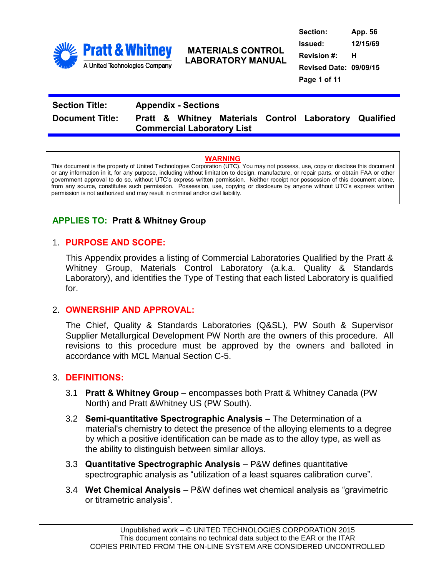

**Section: App. 56 Issued: 12/15/69 Revision #: H Revised Date: 09/09/15 Page 1 of 11**

# **Section Title: Appendix - Sections Document Title: Pratt & Whitney Materials Control Laboratory Qualified Commercial Laboratory List**

### **WARNING**

This document is the property of United Technologies Corporation (UTC). You may not possess, use, copy or disclose this document or any information in it, for any purpose, including without limitation to design, manufacture, or repair parts, or obtain FAA or other government approval to do so, without UTC's express written permission. Neither receipt nor possession of this document alone, from any source, constitutes such permission. Possession, use, copying or disclosure by anyone without UTC's express written permission is not authorized and may result in criminal and/or civil liability.

## **APPLIES TO: Pratt & Whitney Group**

### 1. **PURPOSE AND SCOPE:**

This Appendix provides a listing of Commercial Laboratories Qualified by the Pratt & Whitney Group, Materials Control Laboratory (a.k.a. Quality & Standards Laboratory), and identifies the Type of Testing that each listed Laboratory is qualified for.

### 2. **OWNERSHIP AND APPROVAL:**

The Chief, Quality & Standards Laboratories (Q&SL), PW South & Supervisor Supplier Metallurgical Development PW North are the owners of this procedure. All revisions to this procedure must be approved by the owners and balloted in accordance with MCL Manual Section C-5.

### 3. **DEFINITIONS:**

- 3.1 **Pratt & Whitney Group** encompasses both Pratt & Whitney Canada (PW North) and Pratt &Whitney US (PW South).
- 3.2 **Semi-quantitative Spectrographic Analysis** The Determination of a material's chemistry to detect the presence of the alloying elements to a degree by which a positive identification can be made as to the alloy type, as well as the ability to distinguish between similar alloys.
- 3.3 **Quantitative Spectrographic Analysis** P&W defines quantitative spectrographic analysis as "utilization of a least squares calibration curve".
- 3.4 **Wet Chemical Analysis** P&W defines wet chemical analysis as "gravimetric or titrametric analysis".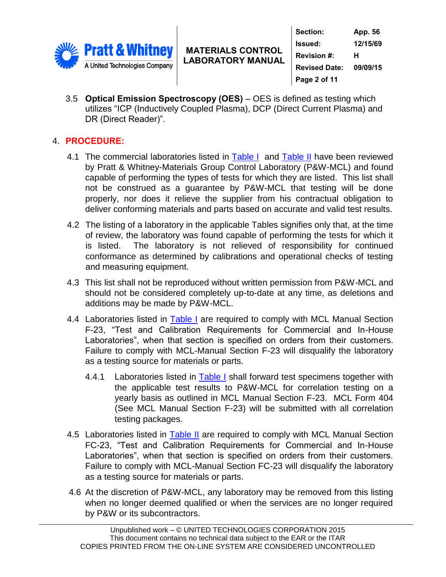

**Section: App. 56 Issued: 12/15/69 Revision #: H Revised Date: 09/09/15 Page 2 of 11**

3.5 **Optical Emission Spectroscopy (OES)** – OES is defined as testing which utilizes "ICP (Inductively Coupled Plasma), DCP (Direct Current Plasma) and DR (Direct Reader)".

# 4. **PROCEDURE:**

- 4.1 The commercial laboratories listed in [Table I](#page-4-0) and [Table II](#page-8-0) have been reviewed by Pratt & Whitney-Materials Group Control Laboratory (P&W-MCL) and found capable of performing the types of tests for which they are listed. This list shall not be construed as a guarantee by P&W-MCL that testing will be done properly, nor does it relieve the supplier from his contractual obligation to deliver conforming materials and parts based on accurate and valid test results.
- 4.2 The listing of a laboratory in the applicable Tables signifies only that, at the time of review, the laboratory was found capable of performing the tests for which it is listed. The laboratory is not relieved of responsibility for continued conformance as determined by calibrations and operational checks of testing and measuring equipment.
- 4.3 This list shall not be reproduced without written permission from P&W-MCL and should not be considered completely up-to-date at any time, as deletions and additions may be made by P&W-MCL.
- 4.4 Laboratories listed in [Table I](#page-4-0) are required to comply with MCL Manual Section F-23, "Test and Calibration Requirements for Commercial and In-House Laboratories", when that section is specified on orders from their customers. Failure to comply with MCL-Manual Section F-23 will disqualify the laboratory as a testing source for materials or parts.
	- 4.4.1 Laboratories listed in [Table I](#page-4-0) shall forward test specimens together with the applicable test results to P&W-MCL for correlation testing on a yearly basis as outlined in MCL Manual Section F-23. MCL Form 404 (See MCL Manual Section F-23) will be submitted with all correlation testing packages.
- 4.5 Laboratories listed in [Table II](#page-8-0) are required to comply with MCL Manual Section FC-23, "Test and Calibration Requirements for Commercial and In-House Laboratories", when that section is specified on orders from their customers. Failure to comply with MCL-Manual Section FC-23 will disqualify the laboratory as a testing source for materials or parts.
- 4.6 At the discretion of P&W-MCL, any laboratory may be removed from this listing when no longer deemed qualified or when the services are no longer required by P&W or its subcontractors.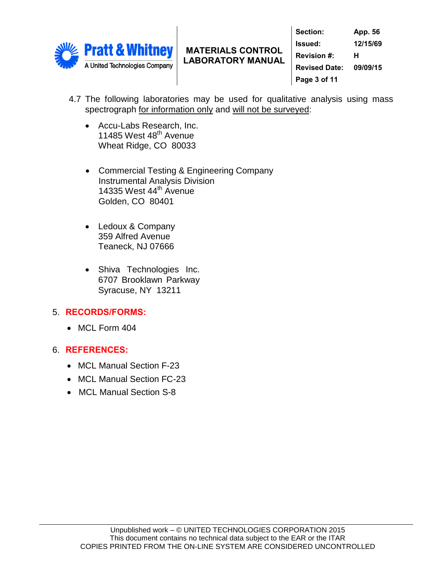

**Section: App. 56 Issued: 12/15/69 Revision #: H Revised Date: 09/09/15 Page 3 of 11**

- 4.7 The following laboratories may be used for qualitative analysis using mass spectrograph for information only and will not be surveyed:
	- Accu-Labs Research, Inc. 11485 West  $48^{\text{th}}$  Avenue Wheat Ridge, CO 80033
	- Commercial Testing & Engineering Company Instrumental Analysis Division 14335 West  $44<sup>th</sup>$  Avenue Golden, CO 80401
	- Ledoux & Company 359 Alfred Avenue Teaneck, NJ 07666
	- Shiva Technologies Inc. 6707 Brooklawn Parkway Syracuse, NY 13211

# 5. **RECORDS/FORMS:**

• MCL Form 404

## 6. **REFERENCES:**

- MCL Manual Section F-23
- MCL Manual Section FC-23
- MCL Manual Section S-8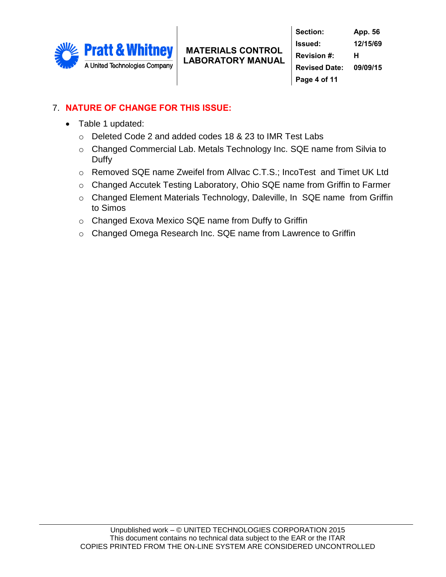

# 7. **NATURE OF CHANGE FOR THIS ISSUE:**

- Table 1 updated:
	- o Deleted Code 2 and added codes 18 & 23 to IMR Test Labs
	- o Changed Commercial Lab. Metals Technology Inc. SQE name from Silvia to Duffy
	- o Removed SQE name Zweifel from Allvac C.T.S.; IncoTest and Timet UK Ltd
	- o Changed Accutek Testing Laboratory, Ohio SQE name from Griffin to Farmer
	- o Changed Element Materials Technology, Daleville, In SQE name from Griffin to Simos
	- o Changed Exova Mexico SQE name from Duffy to Griffin
	- o Changed Omega Research Inc. SQE name from Lawrence to Griffin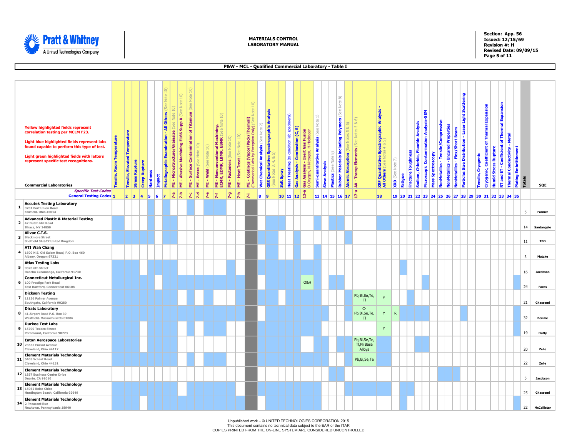<span id="page-4-0"></span>

ı

#### **MATERIALS CONTROL LABORATORY MANUAL**

**Section: App. 56 Issued: 12/15/69 Revision #: H Revised Date: 09/09/15 Page 5 of 11**

|              |                                                                                                                                                                                                                                                                                                          |                             |                                      |                       |                      |                           |                                                     |                                  |                                                          |                                                                                         |            |                                         |                                                                                                        |                   |                                    |                                                                                                                        |                                           |                                                    |            |                                               |                                            | P&W - MCL - Qualified Commercial Laboratory - Table I                                 |                                                        |                       |                                                                                       |                                   |                                              |                                                                                  |                         |                                 |                                        |                                        |                          |                                                                               |                                |                                                         |                       |                                             |                                                                                    |                                                    |                              |               |                    |
|--------------|----------------------------------------------------------------------------------------------------------------------------------------------------------------------------------------------------------------------------------------------------------------------------------------------------------|-----------------------------|--------------------------------------|-----------------------|----------------------|---------------------------|-----------------------------------------------------|----------------------------------|----------------------------------------------------------|-----------------------------------------------------------------------------------------|------------|-----------------------------------------|--------------------------------------------------------------------------------------------------------|-------------------|------------------------------------|------------------------------------------------------------------------------------------------------------------------|-------------------------------------------|----------------------------------------------------|------------|-----------------------------------------------|--------------------------------------------|---------------------------------------------------------------------------------------|--------------------------------------------------------|-----------------------|---------------------------------------------------------------------------------------|-----------------------------------|----------------------------------------------|----------------------------------------------------------------------------------|-------------------------|---------------------------------|----------------------------------------|----------------------------------------|--------------------------|-------------------------------------------------------------------------------|--------------------------------|---------------------------------------------------------|-----------------------|---------------------------------------------|------------------------------------------------------------------------------------|----------------------------------------------------|------------------------------|---------------|--------------------|
|              |                                                                                                                                                                                                                                                                                                          |                             |                                      |                       |                      |                           |                                                     |                                  |                                                          |                                                                                         |            |                                         |                                                                                                        |                   |                                    |                                                                                                                        |                                           |                                                    |            |                                               |                                            |                                                                                       |                                                        |                       |                                                                                       |                                   |                                              |                                                                                  |                         |                                 |                                        |                                        |                          |                                                                               |                                |                                                         |                       |                                             |                                                                                    |                                                    |                              |               |                    |
|              | <b>Yellow highlighted fields represent</b><br>correlation testing per MCLM F23.<br>Light blue highlighted fields represent labs<br>found capable to perform this type of test.<br>Light green highlighted fields with letters<br>represent specific test recognitions.<br><b>Commercial Laboratories</b> | Temperatu<br>Room<br>nsile, | <b>Tensile, Elevated Temperature</b> | <b>Stress Rupture</b> | <b>Creep Rupture</b> | Hardness<br><b>Impact</b> | <b>Others</b><br>₹<br>Examination<br>Metallographic | Grainsiz<br>Microstructure/<br>쁮 | $10)$<br>(See<br>E166 Supp A<br>- Abusive Machining<br>뿓 | $\Xi$<br><b>Note</b><br>See<br>of Titanium<br>Contamination<br><b>Surface</b><br>×<br>Ë | Braze<br>뿓 | $\Xi$<br>Note<br>(See<br><b>ME-Weld</b> | $\widehat{\Xi}$<br>$\mathfrak{B}$<br>ME - Nonconventional Machining,<br>ECMR, EDMR, LBMR, EBMR (See No | ME - Fasteners (S | $\Xi$<br>Note<br>- Heat Treat<br>₩ | $10)$<br>Jote<br>(Vapor/Pack/Thermal)<br><b>Only</b><br>nonde<br>Fxre<br>λá<br><b>Coatings (V</b><br>merical Labs<br>뿦 | ğ<br>(See<br><b>Wet Chemical Analysis</b> | nalysis<br>Spectrographic A<br>Quantitative<br>OES | Salt Spray | specimens)<br>Heat Treating (to condition lab | Combustion (C, S)<br><b>Gas Analysis -</b> | Gas Fusion<br>H-Hydr<br><b>Inert</b><br>N-Nitr<br>Analysis<br>Gas Analys<br>O-Oxygen, | ₽<br>Note<br>(See<br><b>Semi-quantitative Analysis</b> | <b>Sieve Analysis</b> | Note 8)<br>(See<br><b>Rubber Materials including Polymers</b><br>6<br>Note<br>Plastic | න්<br><b>Atomic Absorption</b> (S | $\alpha$<br>u.<br><b>Tramp Elements</b><br>Ś | <b>Spectrographic Analysis</b><br><b>XRF Quantitative<br/>All Others</b> (See No | Note<br><b>KRD</b> (See | Toughness<br>racture<br>Fatigue | Analysis<br>Sodium, Chloride, Fluoride | Microscopic Contamination Analysis-SEM | <b>Mass Spectroscopy</b> | NonMetallics - Tensile/Compressive<br><b>NonMetallics -Uncured Properties</b> | NonMetallics - Flex/Short Beam | Light Scattering<br>Particles Size Distribution - Laser | Cryogenic<br>Tensile, | Cryogenic, Coefficient of Thermal Expansion | <b>RT</b> and ET - Coefficient of Thermal Expansion<br><b>Humid Stress Rupture</b> | Thermal Conductivity - Metal                       | <b>Plating Embrittlement</b> | <b>Totals</b> |                    |
|              | <b>Specific Test Codes</b><br><b>General Testing Codes 1</b>                                                                                                                                                                                                                                             |                             | $\vert 2 \vert \vert 3 \vert$        |                       | 5<br>$\vert$ 4       | 6                         | $\overline{z}$                                      | $7-a$                            | $7 - b$                                                  | $\tilde{\mathbf{r}}$                                                                    | $7 - d$    | $7 - e$                                 |                                                                                                        | $7 - g$           | 7-h                                | Ř.                                                                                                                     |                                           |                                                    |            | 10 11 12                                      |                                            | -ņ<br>ė.                                                                              |                                                        | 13 14 15 16 17        |                                                                                       |                                   | 15                                           | 18                                                                               |                         |                                 |                                        |                                        |                          |                                                                               |                                |                                                         |                       |                                             |                                                                                    | 19 20 21 22 23 24 25 26 27 28 29 30 31 32 33 34 35 |                              |               | SQE                |
| $\mathbf{1}$ | <b>Accutek Testing Laboratory</b><br>3701 Port Union Road<br>Fairfield, Ohio 45014                                                                                                                                                                                                                       |                             |                                      |                       |                      |                           |                                                     |                                  |                                                          |                                                                                         |            |                                         |                                                                                                        |                   |                                    |                                                                                                                        |                                           |                                                    |            |                                               |                                            |                                                                                       |                                                        |                       |                                                                                       |                                   |                                              |                                                                                  |                         |                                 |                                        |                                        |                          |                                                                               |                                |                                                         |                       |                                             |                                                                                    |                                                    |                              | -5            | <b>Farmer</b>      |
|              | <b>Advanced Plastic &amp; Material Testing</b><br>2 42 Dutch Mill Road<br>Ithaca, NY 14850                                                                                                                                                                                                               |                             |                                      |                       |                      |                           |                                                     |                                  |                                                          |                                                                                         |            |                                         |                                                                                                        |                   |                                    |                                                                                                                        |                                           |                                                    |            |                                               |                                            |                                                                                       |                                                        |                       |                                                                                       |                                   |                                              |                                                                                  |                         |                                 |                                        |                                        |                          |                                                                               |                                |                                                         |                       |                                             |                                                                                    |                                                    |                              | 14            | Santangelo         |
|              | Allvac C.T.S.<br>3 Blackmore Street<br>Sheffield S4 &TZ United Kingdom                                                                                                                                                                                                                                   |                             |                                      |                       |                      |                           |                                                     |                                  |                                                          |                                                                                         |            |                                         |                                                                                                        |                   |                                    |                                                                                                                        |                                           |                                                    |            |                                               |                                            |                                                                                       |                                                        |                       |                                                                                       |                                   |                                              |                                                                                  |                         |                                 |                                        |                                        |                          |                                                                               |                                |                                                         |                       |                                             |                                                                                    |                                                    |                              | 11            | <b>TBD</b>         |
|              | <b>ATI Wah Chang</b><br>4 1600 N.E. Old Salem Road, P.O. Box 460<br>Albany, Oregon 97321                                                                                                                                                                                                                 |                             |                                      |                       |                      |                           |                                                     |                                  |                                                          |                                                                                         |            |                                         |                                                                                                        |                   |                                    |                                                                                                                        |                                           |                                                    |            |                                               |                                            |                                                                                       |                                                        |                       |                                                                                       |                                   |                                              |                                                                                  |                         |                                 |                                        |                                        |                          |                                                                               |                                |                                                         |                       |                                             |                                                                                    |                                                    |                              | 3             | Matzke             |
| 5            | <b>Atlas Testing Labs</b><br>9820 6th Street<br>Rancho Cucamonga, California 91730                                                                                                                                                                                                                       |                             |                                      |                       |                      |                           |                                                     |                                  |                                                          |                                                                                         |            |                                         |                                                                                                        |                   |                                    |                                                                                                                        |                                           |                                                    |            |                                               |                                            |                                                                                       |                                                        |                       |                                                                                       |                                   |                                              |                                                                                  |                         |                                 |                                        |                                        |                          |                                                                               |                                |                                                         |                       |                                             |                                                                                    |                                                    |                              | 16            | Jacobson           |
|              | <b>Connecticut Metallurgical Inc.</b><br>6 100 Prestige Park Road<br>East Hartford, Connecticut 06108                                                                                                                                                                                                    |                             |                                      |                       |                      |                           |                                                     |                                  |                                                          |                                                                                         |            |                                         |                                                                                                        |                   |                                    |                                                                                                                        |                                           |                                                    |            |                                               |                                            | O&H                                                                                   |                                                        |                       |                                                                                       |                                   |                                              |                                                                                  |                         |                                 |                                        |                                        |                          |                                                                               |                                |                                                         |                       |                                             |                                                                                    |                                                    |                              | 24            | Facas              |
|              | <b>Dickson Testing</b><br>7 11126 Palmer Avenue<br>Southgate, California 90280                                                                                                                                                                                                                           |                             |                                      |                       |                      |                           |                                                     |                                  |                                                          |                                                                                         |            |                                         |                                                                                                        |                   |                                    |                                                                                                                        |                                           |                                                    |            |                                               |                                            |                                                                                       |                                                        |                       |                                                                                       |                                   | Pb,Bi,Se,Te,<br>T1                           | Y                                                                                |                         |                                 |                                        |                                        |                          |                                                                               |                                |                                                         |                       |                                             |                                                                                    |                                                    |                              | 21            | Ghassemi           |
|              | <b>Dirats Laboratory</b><br>8 41 Airport Road P.O. Box 39<br>Westfield, Massachusetts 01086                                                                                                                                                                                                              |                             |                                      |                       |                      |                           |                                                     |                                  |                                                          |                                                                                         |            |                                         |                                                                                                        |                   |                                    |                                                                                                                        |                                           |                                                    |            |                                               |                                            |                                                                                       |                                                        |                       |                                                                                       |                                   | $C-$<br>Pb,Bi,Se,Te,<br>T1                   | $\mathsf Y$                                                                      | ${\sf R}$               |                                 |                                        |                                        |                          |                                                                               |                                |                                                         |                       |                                             |                                                                                    |                                                    |                              | 32            | <b>Berube</b>      |
|              | <b>Durkee Test Labs</b><br>9 15700 Texaco Street<br>Paramount, California 90723                                                                                                                                                                                                                          |                             |                                      |                       |                      |                           |                                                     |                                  |                                                          |                                                                                         |            |                                         |                                                                                                        |                   |                                    |                                                                                                                        |                                           |                                                    |            |                                               |                                            |                                                                                       |                                                        |                       |                                                                                       |                                   |                                              | Y                                                                                |                         |                                 |                                        |                                        |                          |                                                                               |                                |                                                         |                       |                                             |                                                                                    |                                                    |                              | 19            | Duffy              |
|              | <b>Eaton Aerospace Laboratories</b><br>10 23555 Euckid Avenue<br>Cleveland, Ohio 44117                                                                                                                                                                                                                   |                             |                                      |                       |                      |                           |                                                     |                                  |                                                          |                                                                                         |            |                                         |                                                                                                        |                   |                                    |                                                                                                                        |                                           |                                                    |            |                                               |                                            |                                                                                       |                                                        |                       |                                                                                       |                                   | Pb,Bi,Se,Te,<br>Tl, Ni Base<br>Alloys        |                                                                                  |                         |                                 |                                        |                                        |                          |                                                                               |                                |                                                         |                       |                                             |                                                                                    |                                                    |                              | 20            | Zelle              |
|              | <b>Element Materials Technology</b><br>11 5405 Schaaf Road<br>Cleveland, Ohio 44131                                                                                                                                                                                                                      |                             |                                      |                       |                      |                           |                                                     |                                  |                                                          |                                                                                         |            |                                         |                                                                                                        |                   |                                    |                                                                                                                        |                                           |                                                    |            |                                               |                                            |                                                                                       |                                                        |                       |                                                                                       |                                   | Pb,Bi,Se,Te                                  |                                                                                  |                         |                                 |                                        |                                        |                          |                                                                               |                                |                                                         |                       |                                             |                                                                                    |                                                    |                              | 22            | Zelle              |
|              | <b>Element Materials Technology</b><br>12 1857 Business Center Drive<br>Duarte, CA 91010                                                                                                                                                                                                                 |                             |                                      |                       |                      |                           |                                                     |                                  |                                                          |                                                                                         |            |                                         |                                                                                                        |                   |                                    |                                                                                                                        |                                           |                                                    |            |                                               |                                            |                                                                                       |                                                        |                       |                                                                                       |                                   |                                              |                                                                                  |                         |                                 |                                        |                                        |                          |                                                                               |                                |                                                         |                       |                                             |                                                                                    |                                                    |                              | -5            | Jacobson           |
|              | <b>Element Materials Technology</b><br>13 15062 Bolsa Chica<br>Huntington Beach, California 92649                                                                                                                                                                                                        |                             |                                      |                       |                      |                           |                                                     |                                  |                                                          |                                                                                         |            |                                         |                                                                                                        |                   |                                    |                                                                                                                        |                                           |                                                    |            |                                               |                                            |                                                                                       |                                                        |                       |                                                                                       |                                   |                                              |                                                                                  |                         |                                 |                                        |                                        |                          |                                                                               |                                |                                                         |                       |                                             |                                                                                    |                                                    |                              | 25            | Ghassemi           |
|              | <b>Element Materials Technology</b><br>14 2 Pheasant Run<br>Newtown, Pennsylvania 18940                                                                                                                                                                                                                  |                             |                                      |                       |                      |                           |                                                     |                                  |                                                          |                                                                                         |            |                                         |                                                                                                        |                   |                                    |                                                                                                                        |                                           |                                                    |            |                                               |                                            |                                                                                       |                                                        |                       |                                                                                       |                                   |                                              |                                                                                  |                         |                                 |                                        |                                        |                          |                                                                               |                                |                                                         |                       |                                             |                                                                                    |                                                    |                              | 22            | <b>McCallister</b> |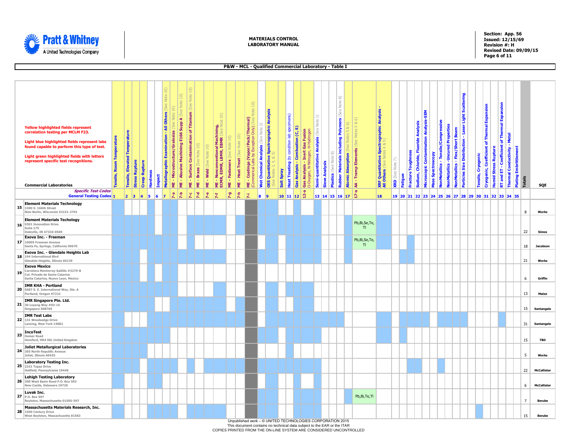

**Section: App. 56 Issued: 12/15/69 Revision #: H Revised Date: 09/09/15 Page 6 of 11**

|                                                                                                                                                                                                                                                                        |                                    |                               |                       |                      |                 |                                                                |                                        |                                                       |                                                        |                                              |                         |                                                                                                                           |                   |                                  |                                                                                                                                         |                                                       |                                                 |                                                          |                                  | P&W - MCL - Qualified Commercial Laboratory - Table I                                                 |                                              |                       |                                          |                                                                                        |            |                    |                                                                                   |                                                          |                                               |                                     |                                                          |                                                                |                                         |                                |                                                      |                                                                             |                             |                                              |                              |                                        |                    |
|------------------------------------------------------------------------------------------------------------------------------------------------------------------------------------------------------------------------------------------------------------------------|------------------------------------|-------------------------------|-----------------------|----------------------|-----------------|----------------------------------------------------------------|----------------------------------------|-------------------------------------------------------|--------------------------------------------------------|----------------------------------------------|-------------------------|---------------------------------------------------------------------------------------------------------------------------|-------------------|----------------------------------|-----------------------------------------------------------------------------------------------------------------------------------------|-------------------------------------------------------|-------------------------------------------------|----------------------------------------------------------|----------------------------------|-------------------------------------------------------------------------------------------------------|----------------------------------------------|-----------------------|------------------------------------------|----------------------------------------------------------------------------------------|------------|--------------------|-----------------------------------------------------------------------------------|----------------------------------------------------------|-----------------------------------------------|-------------------------------------|----------------------------------------------------------|----------------------------------------------------------------|-----------------------------------------|--------------------------------|------------------------------------------------------|-----------------------------------------------------------------------------|-----------------------------|----------------------------------------------|------------------------------|----------------------------------------|--------------------|
|                                                                                                                                                                                                                                                                        |                                    |                               |                       |                      |                 |                                                                |                                        |                                                       |                                                        |                                              |                         |                                                                                                                           |                   |                                  |                                                                                                                                         |                                                       |                                                 |                                                          |                                  |                                                                                                       |                                              |                       |                                          |                                                                                        |            |                    |                                                                                   |                                                          |                                               |                                     |                                                          |                                                                |                                         |                                |                                                      |                                                                             |                             |                                              |                              |                                        |                    |
| <b>Yellow highlighted fields represent</b><br>correlation testing per MCLM F23.<br>Light blue highlighted fields represent labs<br>found capable to perform this type of test.<br>Light green highlighted fields with letters<br>represent specific test recognitions. | <b>Room Temperature</b><br>ensile, | Tensile, Elevated Temperature | <b>Stress Rupture</b> | <b>Creep Rupture</b> | <b>Hardness</b> | Vote<br>Others<br>₹<br>Examination<br>Metallographic<br>Impact | $\Xi$<br>ME - Microstructure/Grainsize | $10)$<br>ME - Abusive Machining E166 Supp A (See Note | Ξ<br>Note:<br>See<br>Surface Contamination of Titanium | $\frac{10}{10}$<br><b>Note</b><br>Braze (See | ME - Weld (See Note 10) | $\widehat{\mathbf{1}}$<br>B<br>al Machining,<br>EBMR (See No <sup>.</sup><br>ME - Nonconventional<br>ECMR, EDMR, LBMR, EI | ME - Fasteners (S | 10)<br>ME - Heat Treat (See Note | $\widehat{\mathbf{L}}$<br>Note<br>por/Pack/Thermal)<br>On(y)<br>Exception<br>ă<br>g<br><b>Coatings (V</b><br>merical Labs I<br>mmerical | $\frac{1}{2}$<br>(See<br><b>Wet Chemical Analysis</b> | <b>OES Quantitative Spectrographic Analysis</b> | Heat Treating (to condition lab specimens)<br>Salt Spray | Gas Analysis - Combustion (C, S) | Gas Fusion<br>H-Hydrogen<br>- Inert<br><b>Malysis - Iner Analysis</b><br>Analysis - Iner<br>0-Oxygen, | ≘<br>Note<br>Semi-quantitative Analysis (See | <b>Sieve Analysis</b> | $\widehat{\infty}$<br>Plastics (See Note | (See Note 8)<br><b>Rubber Materials including Polymers</b><br><b>Atomic Absorption</b> | $\sigma^2$ | - Tramp Elements   | <b>Spectrographic Analysis</b><br><b>XRF Quantitative:</b><br>All Others (See Not | $\widehat{\phantom{a}}$<br>Note <sup>:</sup><br>XRD (See | Toughness<br>Fracture <sup>'</sup><br>Fatigue | Sodium, Chloride, Fluoride Analysis | <b>SEM</b><br><b>Microscopic Contamination Analysis-</b> | NonMetallics - Tensile/Compressive<br><b>Mass Spectroscopy</b> | <b>NonMetallics -Uncured Properties</b> | NonMetallics - Flex/Short Beam | Particles Size Distribution - Laser Light Scattering | <b>Cryogenic, Coefficient of Thermal Expansion</b><br>Cryogenic<br>Tensile, | <b>Humid Stress Rupture</b> | RT and ET - Coefficient of Thermal Expansion | Thermal Conductivity - Metal | <b>Plating Embrittlement</b><br>Totals |                    |
| <b>Commercial Laboratories</b><br><b>Specific Test Codes</b>                                                                                                                                                                                                           |                                    |                               |                       |                      |                 |                                                                |                                        |                                                       | 뿦                                                      | 뿓                                            |                         |                                                                                                                           |                   |                                  | 뿦                                                                                                                                       |                                                       |                                                 |                                                          |                                  | Gas                                                                                                   |                                              |                       |                                          |                                                                                        | s          |                    |                                                                                   |                                                          |                                               |                                     |                                                          |                                                                |                                         |                                |                                                      |                                                                             |                             |                                              |                              |                                        | SQE                |
| <b>General Testing Codes 1</b>                                                                                                                                                                                                                                         |                                    | $\vert 2 \vert \vert 3 \vert$ |                       | 14<br>5              | 6               | $\overline{7}$                                                 | $7 - a$                                | $2-5$                                                 | $\mathcal{F}^{\mathbf{c}}$                             | 7 <sup>4</sup>                               | <b>P</b>                |                                                                                                                           | $P - Q$           | $7-h$                            | 交                                                                                                                                       | 8                                                     |                                                 | $10$ 11 12                                               |                                  | $12-a$                                                                                                |                                              |                       | 13 14 15 16 17                           |                                                                                        |            |                    | 18                                                                                |                                                          |                                               |                                     |                                                          |                                                                |                                         |                                |                                                      | 19 20 21 22 23 24 25 26 27 28 29 30 31 32 33 34 35                          |                             |                                              |                              |                                        |                    |
| <b>Element Materials Technology</b><br>$15$ 3200 S. 166th Street<br>New Berlin, Wisconsin 53151-2701                                                                                                                                                                   |                                    |                               |                       |                      |                 |                                                                |                                        |                                                       |                                                        |                                              |                         |                                                                                                                           |                   |                                  |                                                                                                                                         |                                                       |                                                 |                                                          |                                  |                                                                                                       |                                              |                       |                                          |                                                                                        |            |                    |                                                                                   |                                                          |                                               |                                     |                                                          |                                                                |                                         |                                |                                                      |                                                                             |                             |                                              |                              | 8                                      | Works              |
| <b>Element Materials Techology</b><br>16 9301 Innovation Drive<br>Suite 175<br>Daleville, IN 47334-0569                                                                                                                                                                |                                    |                               |                       |                      |                 |                                                                |                                        |                                                       |                                                        |                                              |                         |                                                                                                                           |                   |                                  |                                                                                                                                         |                                                       |                                                 |                                                          |                                  |                                                                                                       |                                              |                       |                                          |                                                                                        |            | Pb,Bi,Se,Te,<br>T1 |                                                                                   |                                                          |                                               |                                     |                                                          |                                                                |                                         |                                |                                                      |                                                                             |                             |                                              |                              | 22                                     | <b>Simos</b>       |
| <b>Exova Inc. - Freeman</b><br>17 10005 Freeman Avenue<br>Santa Fe, Springs, California 90670                                                                                                                                                                          |                                    |                               |                       |                      |                 |                                                                |                                        |                                                       |                                                        |                                              |                         |                                                                                                                           |                   |                                  |                                                                                                                                         |                                                       |                                                 |                                                          |                                  |                                                                                                       |                                              |                       |                                          |                                                                                        |            | Pb,Bi,Se,Te,<br>T1 |                                                                                   |                                                          |                                               |                                     |                                                          |                                                                |                                         |                                |                                                      |                                                                             |                             |                                              |                              | 18                                     | Jacobson           |
| Exova Inc. - Glendale Heights Lab<br>18 194 International Blvd<br>Glendale Heights, Illinois 60139                                                                                                                                                                     |                                    |                               |                       |                      |                 |                                                                |                                        |                                                       |                                                        |                                              |                         |                                                                                                                           |                   |                                  |                                                                                                                                         |                                                       |                                                 |                                                          |                                  |                                                                                                       |                                              |                       |                                          |                                                                                        |            |                    |                                                                                   |                                                          |                                               |                                     |                                                          |                                                                |                                         |                                |                                                      |                                                                             |                             |                                              |                              | 21                                     | Works              |
| <b>Exova Mexico</b><br>19 Carretera Monterrey-Saltillo #3279-B<br>Col: Privade de Santa Catarina<br>Santa Catarina, Nuevo Leon, Mexico                                                                                                                                 |                                    |                               |                       |                      |                 |                                                                |                                        |                                                       |                                                        |                                              |                         |                                                                                                                           |                   |                                  |                                                                                                                                         |                                                       |                                                 |                                                          |                                  |                                                                                                       |                                              |                       |                                          |                                                                                        |            |                    |                                                                                   |                                                          |                                               |                                     |                                                          |                                                                |                                         |                                |                                                      |                                                                             |                             |                                              |                              | 6                                      | Griffin            |
| <b>IMR KHA - Portland</b><br>20 5687 S. E. International Way, Ste. A<br>Portland, Oregon 97222                                                                                                                                                                         |                                    |                               |                       |                      |                 |                                                                |                                        |                                                       |                                                        |                                              |                         |                                                                                                                           |                   |                                  |                                                                                                                                         |                                                       |                                                 |                                                          |                                  |                                                                                                       |                                              |                       |                                          |                                                                                        |            |                    |                                                                                   |                                                          |                                               |                                     |                                                          |                                                                |                                         |                                |                                                      |                                                                             |                             |                                              |                              | 13                                     | Matze              |
| IMR Singapore Pte. Ltd.<br>21 30 Loyang Way #03-16<br>Singapore 508769                                                                                                                                                                                                 |                                    |                               |                       |                      |                 |                                                                |                                        |                                                       |                                                        |                                              |                         |                                                                                                                           |                   |                                  |                                                                                                                                         |                                                       |                                                 |                                                          |                                  |                                                                                                       |                                              |                       |                                          |                                                                                        |            |                    |                                                                                   |                                                          |                                               |                                     |                                                          |                                                                |                                         |                                |                                                      |                                                                             |                             |                                              |                              | 15                                     | Santangelo         |
| <b>IMR Test Labs</b><br>22 131 Woodsedge Drive<br>Lansing, New York 14882                                                                                                                                                                                              |                                    |                               |                       |                      |                 |                                                                |                                        |                                                       |                                                        |                                              |                         |                                                                                                                           |                   |                                  |                                                                                                                                         |                                                       |                                                 |                                                          |                                  |                                                                                                       |                                              |                       |                                          |                                                                                        |            |                    |                                                                                   |                                                          |                                               |                                     |                                                          |                                                                |                                         |                                |                                                      |                                                                             |                             |                                              |                              | 31                                     | Santangelo         |
| <b>IncoTest</b><br>23 Homer Road<br>Hereford, HR4 9SL United Kingdom                                                                                                                                                                                                   |                                    |                               |                       |                      |                 |                                                                |                                        |                                                       |                                                        |                                              |                         |                                                                                                                           |                   |                                  |                                                                                                                                         |                                                       |                                                 |                                                          |                                  |                                                                                                       |                                              |                       |                                          |                                                                                        |            |                    |                                                                                   |                                                          |                                               |                                     |                                                          |                                                                |                                         |                                |                                                      |                                                                             |                             |                                              |                              | 15                                     | <b>TBD</b>         |
| Joliet Metallurgical Laboratories<br>24 305 North Republic Avenue<br>Joliet, Illinois 60435                                                                                                                                                                            |                                    |                               |                       |                      |                 |                                                                |                                        |                                                       |                                                        |                                              |                         |                                                                                                                           |                   |                                  |                                                                                                                                         |                                                       |                                                 |                                                          |                                  |                                                                                                       |                                              |                       |                                          |                                                                                        |            |                    |                                                                                   |                                                          |                                               |                                     |                                                          |                                                                |                                         |                                |                                                      |                                                                             |                             |                                              |                              | -5                                     | Works              |
| <b>Laboratory Testing Inc.</b><br>25 2331 Topaz Drive<br>Hatfield, Pennsylvania 19440                                                                                                                                                                                  |                                    |                               |                       |                      |                 |                                                                |                                        |                                                       |                                                        |                                              |                         |                                                                                                                           |                   |                                  |                                                                                                                                         |                                                       |                                                 |                                                          |                                  |                                                                                                       |                                              |                       |                                          |                                                                                        |            |                    |                                                                                   |                                                          |                                               |                                     |                                                          |                                                                |                                         |                                |                                                      |                                                                             |                             |                                              |                              | 22                                     | <b>McCallister</b> |
| <b>Lehigh Testing Laboratory</b><br>26 308 West Basin Road P.O. Box 903<br>New Castle, Delaware 19720                                                                                                                                                                  |                                    |                               |                       |                      |                 |                                                                |                                        |                                                       |                                                        |                                              |                         |                                                                                                                           |                   |                                  |                                                                                                                                         |                                                       |                                                 |                                                          |                                  |                                                                                                       |                                              |                       |                                          |                                                                                        |            |                    |                                                                                   |                                                          |                                               |                                     |                                                          |                                                                |                                         |                                |                                                      |                                                                             |                             |                                              |                              | 6                                      | <b>McCallister</b> |
| Luvak Inc.<br>27 P.O. Box 597<br>Boylston, Massachusetts 01505-597                                                                                                                                                                                                     |                                    |                               |                       |                      |                 |                                                                |                                        |                                                       |                                                        |                                              |                         |                                                                                                                           |                   |                                  |                                                                                                                                         |                                                       |                                                 |                                                          |                                  |                                                                                                       |                                              |                       |                                          |                                                                                        |            | Pb,Bi,Te,Tl        |                                                                                   |                                                          |                                               |                                     |                                                          |                                                                |                                         |                                |                                                      |                                                                             |                             |                                              |                              | $7^{\circ}$                            | <b>Berube</b>      |
| Massachusetts Materials Research, Inc.<br>28 1500 Century Drive<br>West Boylston, Massachusetts 01583                                                                                                                                                                  |                                    |                               |                       |                      |                 |                                                                |                                        |                                                       |                                                        |                                              |                         |                                                                                                                           |                   |                                  |                                                                                                                                         |                                                       |                                                 |                                                          |                                  |                                                                                                       |                                              |                       |                                          |                                                                                        |            |                    |                                                                                   |                                                          |                                               |                                     |                                                          |                                                                |                                         |                                |                                                      |                                                                             |                             |                                              |                              | 15                                     | <b>Berube</b>      |

Unpublished work – © UNITED TECHNOLOGIES CORPORATION 2015

This document contains no technical data subject to the EAR or the ITAR COPIES PRINTED FROM THE ON-LINE SYSTEM ARE CONSIDERED UNCONTROLLED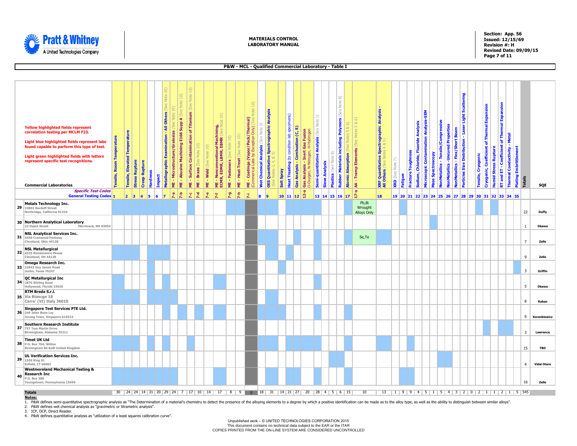

**Section: App. 56 Issued: 12/15/69 Revision #: H Revised Date: 09/09/15 Page 7 of 11**

|    |                                                                                                                                                                                                                                                                                                          |                                    |                                         |                       |                      |          |                                                        |     |                                                            |                                      |                                                                                           |                 |                                           |                                                                                                                                        |                   |                                 |                                               |                                                                                                  |                                                           |                                            |                                                                 |                                                      |                      |                                                 | P&W - MCL - Qualified Commercial Laboratory - Table I |                                                                                     |                                                                     |                                                   |                                                                                            |               |         |                                                                           |                                           |                   |                                    |                                                                    |                                                      |                                                                                |                                                                               |                                                                             |                              |                              |                         |                    |
|----|----------------------------------------------------------------------------------------------------------------------------------------------------------------------------------------------------------------------------------------------------------------------------------------------------------|------------------------------------|-----------------------------------------|-----------------------|----------------------|----------|--------------------------------------------------------|-----|------------------------------------------------------------|--------------------------------------|-------------------------------------------------------------------------------------------|-----------------|-------------------------------------------|----------------------------------------------------------------------------------------------------------------------------------------|-------------------|---------------------------------|-----------------------------------------------|--------------------------------------------------------------------------------------------------|-----------------------------------------------------------|--------------------------------------------|-----------------------------------------------------------------|------------------------------------------------------|----------------------|-------------------------------------------------|-------------------------------------------------------|-------------------------------------------------------------------------------------|---------------------------------------------------------------------|---------------------------------------------------|--------------------------------------------------------------------------------------------|---------------|---------|---------------------------------------------------------------------------|-------------------------------------------|-------------------|------------------------------------|--------------------------------------------------------------------|------------------------------------------------------|--------------------------------------------------------------------------------|-------------------------------------------------------------------------------|-----------------------------------------------------------------------------|------------------------------|------------------------------|-------------------------|--------------------|
|    |                                                                                                                                                                                                                                                                                                          |                                    |                                         |                       |                      |          |                                                        |     |                                                            |                                      |                                                                                           |                 |                                           |                                                                                                                                        |                   |                                 |                                               |                                                                                                  |                                                           |                                            |                                                                 |                                                      |                      |                                                 |                                                       |                                                                                     |                                                                     |                                                   |                                                                                            |               |         |                                                                           |                                           |                   |                                    |                                                                    |                                                      |                                                                                |                                                                               |                                                                             |                              |                              |                         |                    |
|    | <b>Yellow highlighted fields represent</b><br>correlation testing per MCLM F23.<br>Light blue highlighted fields represent labs<br>found capable to perform this type of test.<br>Light green highlighted fields with letters<br>represent specific test recognitions.<br><b>Commercial Laboratories</b> | <b>Room Temperature</b><br>ensile, | <b>Elevated Temperature</b><br>Tensile, | <b>Stress Rupture</b> | <b>Creep Rupture</b> | Hardness | Others<br>₹<br>Examination<br>Metallographic<br>Impact | pic | 10)<br><b>Note</b><br>- Microstructure/Grainsize<br>Ë<br>뿓 | - Abusive Machining E166 Supp A (See | $\Xi$<br>Note<br>of Titanium<br>Contamination<br><b>Surface</b><br><b>Braze</b><br>뿓<br>쁮 | $\widehat{\Xi}$ | $\widehat{\Xi}$<br>Note<br>ME - Weld (See | $\widehat{\mathbb{D}}$<br>$\mathfrak{B}$<br>al Machining,<br>EBMR (See No<br>Nonconventional<br><sup>2</sup> , EDMR, LBMR, EI<br>ECMR, | ME - Fasteners (S | 10<br>ME - Heat Treat (See Note | Note<br>(Vapor/Pack/Thermal)<br>Coatings<br>뿓 | $\widehat{\mathbf{1}}$<br>On(y)<br>Wet Chemical Analysis (See No<br>kception<br>ம்<br>λá<br>jcal | <b>Spectrographic Analysis</b><br><b>OES Quantitative</b> | condition lab specimens)<br>Spray<br>Salt: | Combustion (C, S)<br>Heat Treating (to<br><b>Gas Analysis -</b> | Gas Fusion<br>H-Hydrogen<br>Inert<br>Analysis<br>Gas | N-Nitrog<br>-Oxygen, | Ξ<br>Note<br>(See<br>Semi-quantitative Analysis | ක<br>Note<br><b>Sieve Analysis</b><br>Plastics (See   | $\widehat{\infty}$<br>Note<br>(See<br>Polymers<br><b>Rubber Materials including</b> | $8.6)$<br>$\overline{10}$<br><b>Notes</b><br>Atomic Absorption (See | 6<br>∣ ∝<br>Notes 5<br><b>AA - Tramp Elements</b> | <b>Spectrographic Analysis</b><br><b>XRF Quantitative S</b><br><b>All Others</b> (See Note | XRD (See Note | Fatigue | <b>Fluoride Analysis</b><br>Toughness<br>Chloride,<br>Fracture<br>Sodium, | SEM<br>Microscopic Contamination Analysis | Mass Spectroscopy | NonMetallics - Tensile/Compressive | NonMetallics -Uncured Properties<br>NonMetallics - Flex/Short Beam | Particles Size Distribution - Laser Light Scattering | Cryogenic<br>Tensile,                                                          | <b>Thermal Expansion</b><br>৳<br><b>Coefficient</b><br>Cryogenic <sub>r</sub> | RT and ET - Coefficient of Thermal Expansion<br><b>Humid Stress Rupture</b> | Thermal Conductivity - Metal | <b>Plating Embrittlement</b> | <b>Totals</b>           | SQE                |
|    | <b>Specific Test Codes</b><br><b>General Testing Codes 1</b>                                                                                                                                                                                                                                             |                                    | $\vert 2 \vert \vert 3 \vert$           |                       | $\vert 4 \vert$      | 6<br>5   | $\overline{z}$                                         |     | $2-5$<br>æ                                                 |                                      | 7-d<br>λc                                                                                 |                 | $7 - e$                                   | ž                                                                                                                                      | 7-9               | $\frac{4}{5}$                   | π                                             | 18                                                                                               | 19                                                        | $10$ 11 12                                 |                                                                 | ġ                                                    |                      |                                                 | $13$ 14 15 16 17 $\Box$                               |                                                                                     |                                                                     |                                                   | 18                                                                                         |               |         |                                                                           |                                           |                   |                                    |                                                                    |                                                      | 19 20 21 22 23 24 25 26 27 28 29 30 31 32 33 34 35                             |                                                                               |                                                                             |                              |                              |                         |                    |
| 29 | <b>Metals Technology Inc.</b><br>19801 Nordoff Street<br>Northridge, California 91324                                                                                                                                                                                                                    |                                    |                                         |                       |                      |          |                                                        |     |                                                            |                                      |                                                                                           |                 |                                           |                                                                                                                                        |                   |                                 |                                               |                                                                                                  |                                                           |                                            |                                                                 |                                                      |                      |                                                 |                                                       |                                                                                     |                                                                     | Pb,Bi<br>Wrought<br><b>Alloys Only</b>            |                                                                                            |               |         |                                                                           |                                           |                   |                                    |                                                                    |                                                      |                                                                                |                                                                               |                                                                             |                              |                              | 22                      | <b>Duffy</b>       |
|    | 30 Northern Analytical Laboratory<br>23 Depot Street<br>Merrimack, NH 03054                                                                                                                                                                                                                              |                                    |                                         |                       |                      |          |                                                        |     |                                                            |                                      |                                                                                           |                 |                                           |                                                                                                                                        |                   |                                 |                                               |                                                                                                  |                                                           |                                            |                                                                 |                                                      |                      |                                                 |                                                       |                                                                                     |                                                                     |                                                   |                                                                                            |               |         |                                                                           |                                           |                   |                                    |                                                                    |                                                      |                                                                                |                                                                               |                                                                             |                              |                              | $\mathbf{1}$            | Okawa              |
|    | <b>NSL Analytical Services Inc.</b><br>31 4450 Cranwood Parkway<br>Cleveland, Ohio 44128                                                                                                                                                                                                                 |                                    |                                         |                       |                      |          |                                                        |     |                                                            |                                      |                                                                                           |                 |                                           |                                                                                                                                        |                   |                                 |                                               |                                                                                                  |                                                           |                                            |                                                                 |                                                      |                      |                                                 |                                                       |                                                                                     |                                                                     | Se, Te                                            |                                                                                            |               |         |                                                                           |                                           |                   |                                    |                                                                    |                                                      |                                                                                |                                                                               |                                                                             |                              |                              | $\overline{7}$          | Zelle              |
|    | <b>NSL Metallurgical</b><br>32 4535 Renaissance Pkway<br>Cleveland, OH 44128                                                                                                                                                                                                                             |                                    |                                         |                       |                      |          |                                                        |     |                                                            |                                      |                                                                                           |                 |                                           |                                                                                                                                        |                   |                                 |                                               |                                                                                                  |                                                           |                                            |                                                                 |                                                      |                      |                                                 |                                                       |                                                                                     |                                                                     |                                                   |                                                                                            |               |         |                                                                           |                                           |                   |                                    |                                                                    |                                                      |                                                                                |                                                                               |                                                                             |                              |                              | 9                       | Zelle              |
|    | <b>Omega Research Inc.</b><br>33 15843 Guy James Road<br>Justin, Texas 76247                                                                                                                                                                                                                             |                                    |                                         |                       |                      |          |                                                        |     |                                                            |                                      |                                                                                           |                 |                                           |                                                                                                                                        |                   |                                 |                                               |                                                                                                  |                                                           |                                            |                                                                 |                                                      |                      |                                                 |                                                       |                                                                                     |                                                                     |                                                   |                                                                                            |               |         |                                                                           |                                           |                   |                                    |                                                                    |                                                      |                                                                                |                                                                               |                                                                             |                              |                              | $\overline{\mathbf{3}}$ | Griffin            |
| 34 | QC Metallurgical Inc<br>2870 Stirling Road<br>Hollywood, Florida 33020                                                                                                                                                                                                                                   |                                    |                                         |                       |                      |          |                                                        |     |                                                            |                                      |                                                                                           |                 |                                           |                                                                                                                                        |                   |                                 |                                               |                                                                                                  |                                                           |                                            |                                                                 |                                                      |                      |                                                 |                                                       |                                                                                     |                                                                     |                                                   |                                                                                            |               |         |                                                                           |                                           |                   |                                    |                                                                    |                                                      |                                                                                |                                                                               |                                                                             |                              |                              | 5                       | Okawa              |
|    | RTM Breda S.r.l.<br>35 Via Biancge 18<br>Carre' (VI) Italy 36010                                                                                                                                                                                                                                         |                                    |                                         |                       |                      |          |                                                        |     |                                                            |                                      |                                                                                           |                 |                                           |                                                                                                                                        |                   |                                 |                                               |                                                                                                  |                                                           |                                            |                                                                 |                                                      |                      |                                                 |                                                       |                                                                                     |                                                                     |                                                   |                                                                                            |               |         |                                                                           |                                           |                   |                                    |                                                                    |                                                      |                                                                                |                                                                               |                                                                             |                              |                              | 8                       | Raban              |
|    | Singapore Test Services PTE Ltd.<br>36 249 Jalan Boon Lay<br>Jurong Town, Singapore 619523                                                                                                                                                                                                               |                                    |                                         |                       |                      |          |                                                        |     |                                                            |                                      |                                                                                           |                 |                                           |                                                                                                                                        |                   |                                 |                                               |                                                                                                  |                                                           |                                            |                                                                 |                                                      |                      |                                                 |                                                       |                                                                                     |                                                                     |                                                   |                                                                                            |               |         |                                                                           |                                           |                   |                                    |                                                                    |                                                      |                                                                                |                                                                               |                                                                             |                              |                              | 9                       | Korenkiewicz       |
|    | Southern Research Institute<br>37 757 Tom Martin Drive<br>Birmingham, Alabama 35211                                                                                                                                                                                                                      |                                    |                                         |                       |                      |          |                                                        |     |                                                            |                                      |                                                                                           |                 |                                           |                                                                                                                                        |                   |                                 |                                               |                                                                                                  |                                                           |                                            |                                                                 |                                                      |                      |                                                 |                                                       |                                                                                     |                                                                     |                                                   |                                                                                            |               |         |                                                                           |                                           |                   |                                    |                                                                    |                                                      |                                                                                |                                                                               |                                                                             |                              |                              | $\overline{3}$          | Lawrence           |
|    | <b>Timet UK Ltd</b><br><b>38</b> P.O. Box 704, Witton<br>Birmingham B6 &UR United Kingdom                                                                                                                                                                                                                |                                    |                                         |                       |                      |          |                                                        |     |                                                            |                                      |                                                                                           |                 |                                           |                                                                                                                                        |                   |                                 |                                               |                                                                                                  |                                                           |                                            |                                                                 |                                                      |                      |                                                 |                                                       |                                                                                     |                                                                     |                                                   |                                                                                            |               |         |                                                                           |                                           |                   |                                    |                                                                    |                                                      |                                                                                |                                                                               |                                                                             |                              |                              | 15                      | <b>TBD</b>         |
| 39 | <b>UL Verification Services Inc.</b><br>1559 King St.<br>Enfield, CT 06082                                                                                                                                                                                                                               |                                    |                                         |                       |                      |          |                                                        |     |                                                            |                                      |                                                                                           |                 |                                           |                                                                                                                                        |                   |                                 |                                               |                                                                                                  |                                                           |                                            |                                                                 |                                                      |                      |                                                 |                                                       |                                                                                     |                                                                     |                                                   |                                                                                            |               |         |                                                                           |                                           |                   |                                    |                                                                    |                                                      |                                                                                |                                                                               |                                                                             |                              |                              | $\overline{4}$          | <b>Vidal Otero</b> |
| 40 | <b>Westmoreland Mechanical Testing &amp;</b><br><b>Research Inc</b><br>P.O. Box 388<br>Youngstown, Pennsylvania 15696                                                                                                                                                                                    |                                    |                                         |                       |                      |          |                                                        |     |                                                            |                                      |                                                                                           |                 |                                           |                                                                                                                                        |                   |                                 |                                               |                                                                                                  |                                                           |                                            |                                                                 |                                                      |                      |                                                 |                                                       |                                                                                     |                                                                     |                                                   |                                                                                            |               |         |                                                                           |                                           |                   |                                    |                                                                    |                                                      |                                                                                |                                                                               |                                                                             |                              |                              | 16                      | Zelle              |
|    | <b>Totals</b>                                                                                                                                                                                                                                                                                            |                                    |                                         |                       |                      |          |                                                        |     |                                                            |                                      |                                                                                           |                 |                                           |                                                                                                                                        |                   |                                 |                                               |                                                                                                  |                                                           |                                            |                                                                 |                                                      |                      |                                                 |                                                       |                                                                                     |                                                                     | 10                                                |                                                                                            |               |         |                                                                           |                                           |                   |                                    |                                                                    |                                                      | $13   1   9   9   4   5   1   5   4   3   2   0   2   1   1   2   1   5   545$ |                                                                               |                                                                             |                              |                              |                         |                    |

**Notes:**

1. P&W defines semi-quantitative spectrographic analysis as "The Determination of a material's chemistry to detect the presence of the alloying elements to a degree by which a positive identification can be made as to the

2. P&W defines wet chemical analysis as "gravimetric or titrametric analysis".

3. ICP, DCP, Direct Reader.

4. P&W defines quantitative analysis as "utilization of a least squares calibration curve".

Unpublished work – © UNITED TECHNOLOGIES CORPORATION 2015 This document contains no technical data subject to the EAR or the ITAR COPIES PRINTED FROM THE ON-LINE SYSTEM ARE CONSIDERED UNCONTROLLED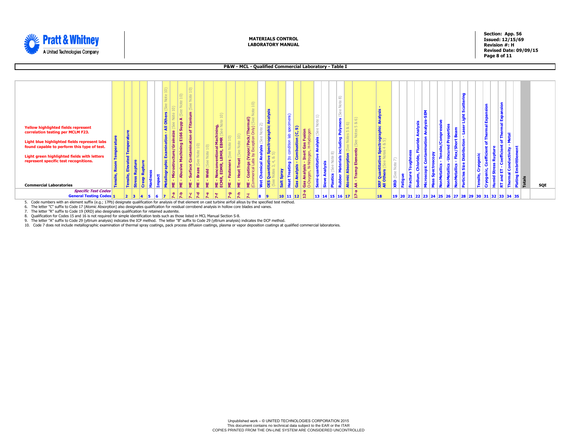

**Section: App. 56 Issued: 12/15/69 Revision #: H Revised Date: 09/09/15 Page 8 of 11**

### **P&W - MCL - Qualified Commercial Laboratory - Table I**

5. Code numbers with an element suffix (e.g.; 17Pb) designate qualification for analysis of that element on cast turbine airfoil alloys by the specified test method. 6. The letter "C" suffix to Code 17 (Atomic Absorption) also designates qualification for residual cerrobend analysis in hollow core blades and vanes.

7. The letter "R" suffix to Code 19 (XRD) also designates qualification for retained austenite.

8. Qualification for Codes 15 and 16 is not required for simple identification tests such as those listed in MCL Manual Section S-8.<br>9. The letter "A" suffix to Code 29 (yttrium analysis) indicates the ICP method. The

10. Code 7 does not include metallographic examination of thermal spray coatings, pack process diffusion coatings, plasma or vapor deposition coatings at qualified commercial laboratories.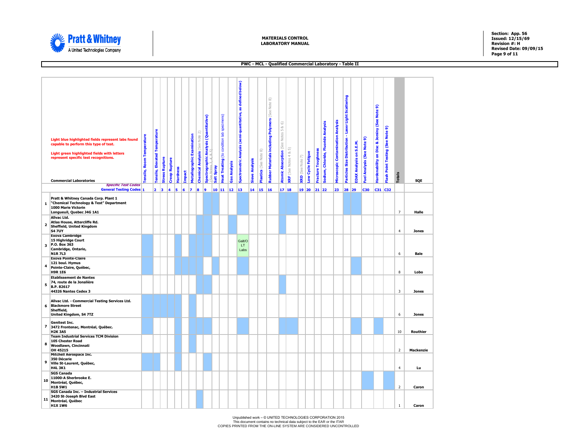<span id="page-8-0"></span>

**Section: App. 56 Issued: 12/15/69 Revision #: H Revised Date: 09/09/15 Page 9 of 11**

### **PWC - MCL - Qualified Commercial Laboratory - Table II**

|                          | Light blue highlighted fields represent labs found<br>capable to perform this type of test.<br>Light green highlighted fields with letters<br>represent specific test recognitions.<br><b>Commercial Laboratories</b> | ensile, Room Temperature | Tensile, Elevated Temperature | <b>Stress Rupture</b> | <b>Creep Rupture</b> | Hardness | <b>Impact</b> | <b>Metallographic Examination</b> | <b>Chemical Analysis</b> (See Note 2) | <b>Spectrographic Analysis (Quantitative)</b><br>(See Notes 3, 4, & 5) | Salt Spray | Heat Treating (to condition lab specimens) | Gas Analysis | below)<br>as defined<br>Spectrometric Analysis (semi-quantitative, | <b>Sieve Analysis</b> | $\widehat{\infty}$<br>Plastics (See Note | $\widehat{\infty}$<br>Note<br>Rubber Materials including Polymers (See | $\&$ 6)<br>LŊ<br><b>Notes</b><br>(See<br><b>Atomic Absorption</b> | 命<br><b>XRF</b> (See Notes 4 & | XRD (See Note 7) | ow Cycle Fatigue | <b>Fracture Toughness</b> | Sodium, Chloride, Fluoride Analysis | <b>Microscopic Contamination Analysis</b> | Particles Size Distribution - Laser Light Scattering | EDAX Analysis on S.E.M. | uel Analysis (See Note 9) | <b>Hardenability on Disc &amp; Jominy (See Note 9)</b> | <b>Flash Point Testing (See Note 9)</b> | Totals                  | SQF          |
|--------------------------|-----------------------------------------------------------------------------------------------------------------------------------------------------------------------------------------------------------------------|--------------------------|-------------------------------|-----------------------|----------------------|----------|---------------|-----------------------------------|---------------------------------------|------------------------------------------------------------------------|------------|--------------------------------------------|--------------|--------------------------------------------------------------------|-----------------------|------------------------------------------|------------------------------------------------------------------------|-------------------------------------------------------------------|--------------------------------|------------------|------------------|---------------------------|-------------------------------------|-------------------------------------------|------------------------------------------------------|-------------------------|---------------------------|--------------------------------------------------------|-----------------------------------------|-------------------------|--------------|
|                          | <b>Specific Test Codes</b>                                                                                                                                                                                            |                          |                               |                       |                      |          |               |                                   |                                       |                                                                        |            |                                            |              |                                                                    |                       |                                          |                                                                        |                                                                   |                                |                  |                  |                           |                                     |                                           |                                                      |                         |                           |                                                        |                                         |                         |              |
| 1                        | <b>General Testing Codes 1</b><br>Pratt & Whitney Canada Corp. Plant 1<br>"Chemical Technology & Test" Department<br>1000 Marie Victorin<br>Longueuil, Quebec J4G 1A1                                                 |                          | $2 \vert 3$                   |                       | 4                    | 5        | 6             | 7                                 | 8                                     | 9                                                                      | 10 11      |                                            | 12           | 13                                                                 | 14                    | 15 16                                    |                                                                        |                                                                   | 17 18                          | $19$ 20          |                  | 21 22                     |                                     | 23                                        | 28 29                                                |                         | <b>C30</b>                |                                                        | C31 C32                                 | $\overline{7}$          | Halle        |
| $\overline{\mathbf{2}}$  | Allvac Ltd.<br>Atlas House, Attercliffe Rd.<br><b>Sheffield, United Kingdom</b><br><b>S4 7UY</b>                                                                                                                      |                          |                               |                       |                      |          |               |                                   |                                       |                                                                        |            |                                            |              |                                                                    |                       |                                          |                                                                        |                                                                   |                                |                  |                  |                           |                                     |                                           |                                                      |                         |                           |                                                        |                                         | $\overline{4}$          | <b>Jones</b> |
|                          | <b>Exova Cambridge</b><br>15 Highridge Court<br>3 P.O. Box 363<br>Cambridge, Ontario,<br><b>N1R7L3</b>                                                                                                                |                          |                               |                       |                      |          |               |                                   |                                       |                                                                        |            |                                            |              | Galt/O<br>LT.<br>Labs                                              |                       |                                          |                                                                        |                                                                   |                                |                  |                  |                           |                                     |                                           |                                                      |                         |                           |                                                        |                                         | 6                       | Bale         |
| $\overline{\mathbf{4}}$  | <b>Exova Pointe-Claire</b><br>121 boul. Hymus<br>Pointe-Claire, Québec,<br><b>H9R 1E6</b>                                                                                                                             |                          |                               |                       |                      |          |               |                                   |                                       |                                                                        |            |                                            |              |                                                                    |                       |                                          |                                                                        |                                                                   |                                |                  |                  |                           |                                     |                                           |                                                      |                         |                           |                                                        |                                         | 8                       | Lobo         |
| 5                        | <b>Etablissement de Nantes</b><br>74, route de la Jonalière<br>B.P. 82617<br>44326 Nantes Cedex 3                                                                                                                     |                          |                               |                       |                      |          |               |                                   |                                       |                                                                        |            |                                            |              |                                                                    |                       |                                          |                                                                        |                                                                   |                                |                  |                  |                           |                                     |                                           |                                                      |                         |                           |                                                        |                                         | $\overline{\mathbf{3}}$ | <b>Jones</b> |
| 6                        | Allvac Ltd. - Commercial Testing Services Ltd.<br><b>Blackmore Street</b><br>Sheffield,<br>United Kingdom, S4 7TZ                                                                                                     |                          |                               |                       |                      |          |               |                                   |                                       |                                                                        |            |                                            |              |                                                                    |                       |                                          |                                                                        |                                                                   |                                |                  |                  |                           |                                     |                                           |                                                      |                         |                           |                                                        |                                         | 6                       | <b>Jones</b> |
| $\overline{\phantom{a}}$ | Genitest Inc.<br>3472 Frontenac, Montréal, Québec.<br><b>H2K3A5</b>                                                                                                                                                   |                          |                               |                       |                      |          |               |                                   |                                       |                                                                        |            |                                            |              |                                                                    |                       |                                          |                                                                        |                                                                   |                                |                  |                  |                           |                                     |                                           |                                                      |                         |                           |                                                        |                                         | 10                      | Routhier     |
| 8                        | <b>Team Industrial Services TCM Division</b><br>105 Chester Road<br>Woodlawn, Cincinnati<br>OH 45215                                                                                                                  |                          |                               |                       |                      |          |               |                                   |                                       |                                                                        |            |                                            |              |                                                                    |                       |                                          |                                                                        |                                                                   |                                |                  |                  |                           |                                     |                                           |                                                      |                         |                           |                                                        |                                         | $\overline{2}$          | Mackenzie    |
| 9                        | Mitchell Aerospace Inc.<br>350 Décarie<br>Ville St-Laurent, Québec,<br><b>H4L 3K1</b>                                                                                                                                 |                          |                               |                       |                      |          |               |                                   |                                       |                                                                        |            |                                            |              |                                                                    |                       |                                          |                                                                        |                                                                   |                                |                  |                  |                           |                                     |                                           |                                                      |                         |                           |                                                        |                                         | $\overline{4}$          | Lu           |
| 10                       | <b>SGS Canada</b><br>11000-A Sherbrooke E.<br>Montréal, Québec,<br><b>H1B 5W1</b>                                                                                                                                     |                          |                               |                       |                      |          |               |                                   |                                       |                                                                        |            |                                            |              |                                                                    |                       |                                          |                                                                        |                                                                   |                                |                  |                  |                           |                                     |                                           |                                                      |                         |                           |                                                        |                                         | $\overline{2}$          | Caron        |
| 11                       | SGS Canada Inc. - Industrial Services<br>3420 St-Joseph Blvd East<br>Montréal, Québec<br><b>H1X 1W6</b>                                                                                                               |                          |                               |                       |                      |          |               |                                   |                                       |                                                                        |            |                                            |              |                                                                    |                       |                                          |                                                                        |                                                                   |                                |                  |                  |                           |                                     |                                           |                                                      |                         |                           |                                                        |                                         | $\mathbf{1}$            | Caron        |

Unpublished work – © UNITED TECHNOLOGIES CORPORATION 2015<br>This document contains no technical data subject to the EAR or the ITAR<br>COPIES PRINTED FROM THE ON-LINE SYSTEM ARE CONSIDERED UNCONTROLLED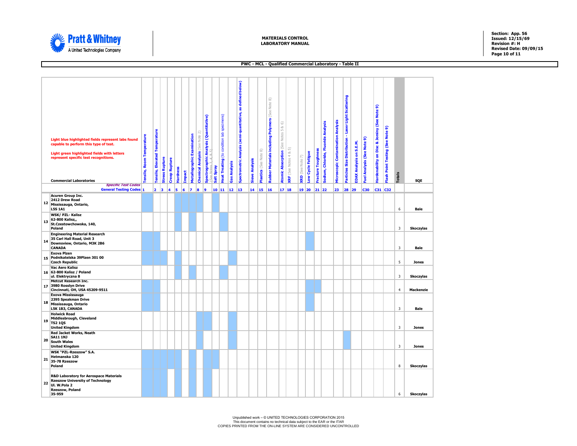

**Section: App. 56 Issued: 12/15/69 Revision #: H Revised Date: 09/09/15 Page 10 of 11**

### **PWC - MCL - Qualified Commercial Laboratory - Table II**

|    | Light blue highlighted fields represent labs found<br>capable to perform this type of test.<br>Light green highlighted fields with letters<br>represent specific test recognitions.<br><b>Commercial Laboratories</b><br><b>Specific Test Codes</b> | ensile, Room Temperature | Tensile, Elevated Temperature | <b>Stress Rupture</b> | <b>Creep Rupture</b> | Hardness | <b>Impact</b> | Metallographic Examination | Chemical Analysis (See Note 2) | <b>Spectrographic Analysis (Quantitative)</b><br>Coa Notes 3 4 & EN | Salt Spray | Heat Treating (to condition lab specimens) | <b>Gas Analysis</b> | below)<br>as defined<br>Spectrometric Analysis (semi-quantitative, | <b>Sieve Analysis</b> | Plastics (See Note 8) | $\widehat{\infty}$<br>Note<br><b>Rubber Materials including Polymers</b> (See | 5 & 6)<br>Atomic Absorption (See Notes | 5<br><b>XRF</b> (See Notes 4 & | $XRD$ (See Note 7) | ow Cycle Fatigue | <b>racture Toughness</b> | sodium, Chloride, Fluoride Analysis | <b>Microscopic Contamination Analysis</b> | articles Size Distribution - Laser Light Scattering | <b>DAX Analysis on S.E.M.</b> | uel Analysis (See Note 9) | lardenability on Disc & Jominy (See Note 9) | Flash Point Testing (See Note 9) | <b>Totals</b>           | SQE                              |
|----|-----------------------------------------------------------------------------------------------------------------------------------------------------------------------------------------------------------------------------------------------------|--------------------------|-------------------------------|-----------------------|----------------------|----------|---------------|----------------------------|--------------------------------|---------------------------------------------------------------------|------------|--------------------------------------------|---------------------|--------------------------------------------------------------------|-----------------------|-----------------------|-------------------------------------------------------------------------------|----------------------------------------|--------------------------------|--------------------|------------------|--------------------------|-------------------------------------|-------------------------------------------|-----------------------------------------------------|-------------------------------|---------------------------|---------------------------------------------|----------------------------------|-------------------------|----------------------------------|
|    | <b>General Testing Codes 1</b>                                                                                                                                                                                                                      |                          |                               | $2 \mid 3$            | 4                    | 5        | 6             | $\mathbf{z}$               | 8                              | $\vert$ 9                                                           |            | 10 11                                      | 12                  | 13                                                                 |                       | 14 15 16              |                                                                               |                                        | 17 18                          |                    | 19 20            | 21 22                    |                                     | 23                                        | 28                                                  | 29                            | <b>C30</b>                |                                             | C31 C32                          |                         |                                  |
| 12 | <b>Acuren Group Inc.</b><br>2412 Drew Road<br>Mississauga, Ontario,<br><b>L5S 1A1</b>                                                                                                                                                               |                          |                               |                       |                      |          |               |                            |                                |                                                                     |            |                                            |                     |                                                                    |                       |                       |                                                                               |                                        |                                |                    |                  |                          |                                     |                                           |                                                     |                               |                           |                                             |                                  | 6                       | Bale                             |
| 13 | WSK/ PZL- Kalisz<br>62-800 Kalisz,,<br>St.Czestowchowska, 140,<br>Poland                                                                                                                                                                            |                          |                               |                       |                      |          |               |                            |                                |                                                                     |            |                                            |                     |                                                                    |                       |                       |                                                                               |                                        |                                |                    |                  |                          |                                     |                                           |                                                     |                               |                           |                                             |                                  | $\overline{3}$          | <b>Skoczylas</b>                 |
| 14 | <b>Engineering Material Research</b><br>35 Carl Hall Road, Unit 3<br>Downsview, Ontario, M3K 2B6<br>CANADA                                                                                                                                          |                          |                               |                       |                      |          |               |                            |                                |                                                                     |            |                                            |                     |                                                                    |                       |                       |                                                                               |                                        |                                |                    |                  |                          |                                     |                                           |                                                     |                               |                           |                                             |                                  | $\overline{\mathbf{3}}$ | Bale                             |
|    | <b>Exova Pizen</b><br>15 Podnikatelska 39Plzen 301 00<br><b>Czech Republic</b>                                                                                                                                                                      |                          |                               |                       |                      |          |               |                            |                                |                                                                     |            |                                            |                     |                                                                    |                       |                       |                                                                               |                                        |                                |                    |                  |                          |                                     |                                           |                                                     |                               |                           |                                             |                                  | 5                       | <b>Jones</b>                     |
|    | <b>Vac Aero Kalisz</b><br>16 62-800 Kalisz / Poland<br>ul. Elektryczna 8                                                                                                                                                                            |                          |                               |                       |                      |          |               |                            |                                |                                                                     |            |                                            |                     |                                                                    |                       |                       |                                                                               |                                        |                                |                    |                  |                          |                                     |                                           |                                                     |                               |                           |                                             |                                  | $\overline{3}$          | <b>Skoczylas</b>                 |
| 17 | <b>Metcut Research Inc.</b><br>3980 Rosslyn Drive<br>Cincinnati, OH, USA 45209-9511                                                                                                                                                                 |                          |                               |                       |                      |          |               |                            |                                |                                                                     |            |                                            |                     |                                                                    |                       |                       |                                                                               |                                        |                                |                    |                  |                          |                                     |                                           |                                                     |                               |                           |                                             |                                  | $\overline{4}$          | <b>Mackenzie</b>                 |
| 18 | Exova Mississauga<br>2395 Speakman Drive<br>Mississauga, Ontario<br>L5K 1B3, CANADA                                                                                                                                                                 |                          |                               |                       |                      |          |               |                            |                                |                                                                     |            |                                            |                     |                                                                    |                       |                       |                                                                               |                                        |                                |                    |                  |                          |                                     |                                           |                                                     |                               |                           |                                             |                                  | $\overline{3}$          | Bale                             |
| 19 | <b>Holwick Road</b><br>Middlesbrough, Cleveland<br><b>TS2 10S</b><br><b>United Kingdom</b>                                                                                                                                                          |                          |                               |                       |                      |          |               |                            |                                |                                                                     |            |                                            |                     |                                                                    |                       |                       |                                                                               |                                        |                                |                    |                  |                          |                                     |                                           |                                                     |                               |                           |                                             |                                  | $\overline{\mathbf{3}}$ | <b>Jones</b>                     |
| 20 | <b>Red Jacket Works, Neath</b><br><b>SA11 1NJ</b><br><b>South Wales</b>                                                                                                                                                                             |                          |                               |                       |                      |          |               |                            |                                |                                                                     |            |                                            |                     |                                                                    |                       |                       |                                                                               |                                        |                                |                    |                  |                          |                                     |                                           |                                                     |                               |                           |                                             |                                  | $\overline{\mathbf{3}}$ |                                  |
| 21 | <b>United Kingdom</b><br>WSK "PZL-Rzeszow" S.A.<br>Hetmanska 120<br>35-78 Rzeszow<br>Poland                                                                                                                                                         |                          |                               |                       |                      |          |               |                            |                                |                                                                     |            |                                            |                     |                                                                    |                       |                       |                                                                               |                                        |                                |                    |                  |                          |                                     |                                           |                                                     |                               |                           |                                             |                                  | 8                       | <b>Jones</b><br><b>Skoczylas</b> |
| 22 | <b>R&amp;D Laboratory for Aerospace Materials</b><br><b>Rzeszow University of Technology</b><br>UI. W.Pola 2<br>Rzeszow, Poland<br>35-959                                                                                                           |                          |                               |                       |                      |          |               |                            |                                |                                                                     |            |                                            |                     |                                                                    |                       |                       |                                                                               |                                        |                                |                    |                  |                          |                                     |                                           |                                                     |                               |                           |                                             |                                  | 6                       | <b>Skoczylas</b>                 |